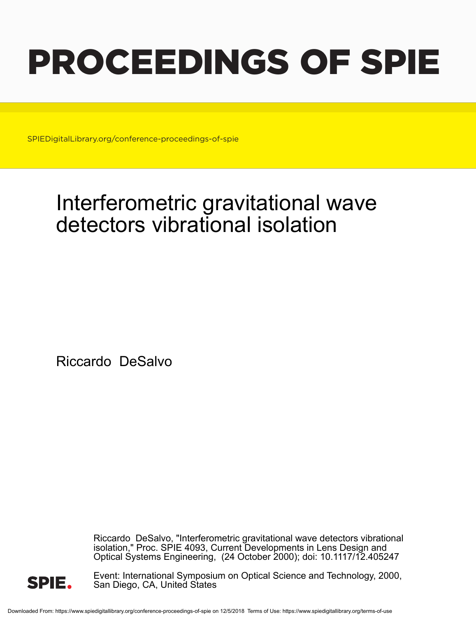# PROCEEDINGS OF SPIE

SPIEDigitalLibrary.org/conference-proceedings-of-spie

## Interferometric gravitational wave detectors vibrational isolation

Riccardo DeSalvo

Riccardo DeSalvo, "Interferometric gravitational wave detectors vibrational isolation," Proc. SPIE 4093, Current Developments in Lens Design and Optical Systems Engineering, (24 October 2000); doi: 10.1117/12.405247



Event: International Symposium on Optical Science and Technology, 2000, San Diego, CA, United States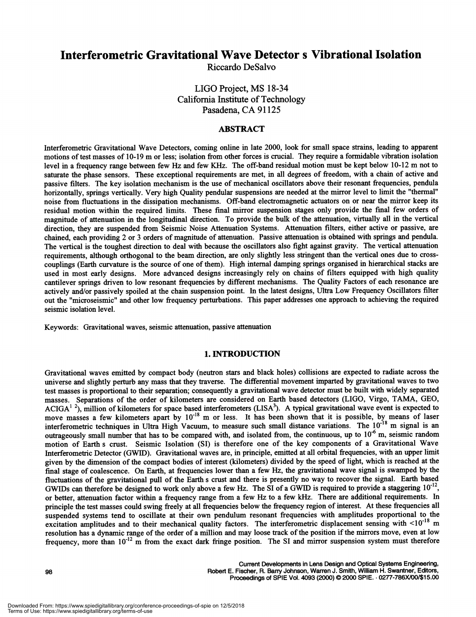### Interferometric Gravitational Wave Detector s Vibrational Isolation

Riccardo DeSalvo

LIGO Project, MS 18-34 California Institute of Technology Pasadena, CA 91125

#### ABSTRACT

interferometric Gravitational Wave Detectors, coming online in late 2000, look for small space strains, leading to apparent motions of test masses of 10-19 m or less; isolation from other forces is crucial. They require a formidable vibration isolation level in a frequency range between few Hz and few KHz. The off-band residual motion must be kept below 10-12 m not to saturate the phase sensors. These exceptional requirements are met, in all degrees of freedom, with a chain of active and passive filters. The key isolation mechanism is the use of mechanical oscillators above their resonant frequencies, pendula horizontally, springs vertically. Very high Quality pendular suspensions are needed at the mirror level to limit the "thermal" noise from fluctuations in the dissipation mechanisms. Off-band electromagnetic actuators on or near the mirror keep its residual motion within the required limits. These fmal mirror suspension stages only provide the fmal few orders of magnitude of attenuation in the longitudinal direction. To provide the bulk of the attenuation, virtually all in the vertical direction, they are suspended from Seismic Noise Attenuation Systems. Attenuation filters, either active or passive, are chained, each providing 2 or 3 orders of magnitude of attenuation. Passive attenuation is obtained with springs and pendula. The vertical is the toughest direction to deal with because the oscillators also fight against gravity. The vertical attenuation requirements, although orthogonal to the beam direction, are only slightly less stringent than the vertical ones due to crosscouplings (Earth curvature is the source of one of them). High internal damping springs organised in hierarchical stacks are used in most early designs. More advanced designs increasingly rely on chains of filters equipped with high quality cantilever springs driven to low resonant frequencies by different mechanisms. The Quality Factors of each resonance are actively and/or passively spoiled at the chain suspension point. In the latest designs, Ultra Low Frequency Oscillators filter out the "microseismic" and other low frequency perturbations. This paper addresses one approach to achieving the required seismic isolation level.

Keywords: Gravitational waves, seismic attenuation, passive attenuation

#### 1. INTRODUCTION

Gravitational waves emitted by compact body (neutron stars and black holes) collisions are expected to radiate across the universe and slightly perturb any mass that they traverse. The differential movement imparted by gravitational waves to two test masses is proportional to their separation; consequently a gravitational wave detector must be built with widely separated masses. Separations of the order of kilometers are considered on Earth based detectors (LIGO, Virgo, TAMA, GEO, ACIGA<sup>1 2</sup>), million of kilometers for space based interferometers (LISA<sup>3</sup>). A typical gravitational wave event is expected to move masses a few kilometers apart by  $10^{-18}$  m or less. It has been shown that it is possible, by means of laser interferometric techniques in Ultra High Vacuum, to measure such small distance variations. The  $10^{-18}$  m signal is an outrageously small number that has to be compared with, and isolated from, the continuous, up to  $10^{-6}$  m, seismic random motion of Earth s crust. Seismic Isolation (SI) is therefore one of the key components of a Gravitational Wave Interferometric Detector (GWID). Gravitational waves are, in principle, emitted at all orbital frequencies, with an upper limit given by the dimension of the compact bodies of interest (kilometers) divided by the speed of light, which is reached at the fmal stage of coalescence. On Earth, at frequencies lower than a few Hz, the gravitational wave signal is swamped by the fluctuations of the gravitational pull of the Earth s crust and there is presently no way to recover the signal. Earth based GWIDs can therefore be designed to work only above a few Hz. The SI of a GWID is required to provide a staggering  $10^{-12}$ , or better, attenuation factor within a frequency range from a few Hz to a few kHz. There are additional requirements. in principle the test masses could swing freely at all frequencies below the frequency region of interest. At these frequencies all suspended systems tend to oscillate at their own pendulum resonant frequencies with amplitudes proportional to the excitation amplitudes and to their mechanical quality factors. The interferometric displacement sensing with  $<10^{-18}$  m resolution has a dynamic range of the order of a million and may loose track of the position if the mirrors move, even at low frequency, more than  $10^{-12}$  m from the exact dark fringe position. The SI and mirror suspension system must therefore

Current Developments in Lens Design and Optical Systems Engineenng, 98 Robert E. Fischer, R. Barry Johnson, Warren J. Smith, William H. Swantner, Editors, Proceedings of SPIE Vol. 4093 (2000) © 2000 SPIE. 0277-786X/00/\$15.00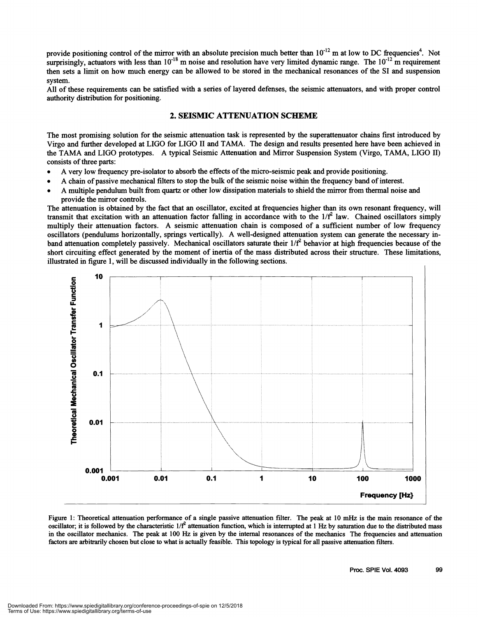provide positioning control of the mirror with an absolute precision much better than  $10^{-12}$  m at low to DC frequencies<sup>4</sup>. Not surprisingly, actuators with less than  $10^{-18}$  m noise and resolution have very limited dynamic range. The  $10^{-12}$  m requirement then sets a limit on how much energy can be allowed to be stored in the mechanical resonances of the SI and suspension

system.<br>All of these requirements can be satisfied with a series of layered defenses, the seismic attenuators, and with proper control authority distribution for positioning.

#### 2. SEISMIC ATTENUATION SCHEME

The most promising solution for the seismic attenuation task is represented by the superattenuator chains first introduced by Virgo and further developed at LIGO for LIGO II and TAMA. The design and results presented here have been achieved in the TAMA and LIGO prototypes. A typical Seismic Attenuation and Mirror Suspension System (Virgo, TAMA, LIGO II) consists of three parts:

- . A very low frequency pre-isolator to absorb the effects ofthe micro-seismic peak and provide positioning.
- A chain of passive mechanical filters to stop the bulk of the seismic noise within the frequency band of interest.
- . A multiple pendulum built from quartz or other low dissipation materials to shield the mirror from thermal noise and provide the mirror controls.

The attenuation is obtained by the fact that an oscillator, excited at frequencies higher than its own resonant frequency, will transmit that excitation with an attenuation factor falling in accordance with to the  $1/f^2$  law. Chained oscillators simply multiply their attenuation factors. A seismic attenuation chain is composed of a sufficient number of low frequency oscillators (pendulums horizontally, springs vertically). A well-designed attenuation system can generate the necessary inband attenuation completely passively. Mechanical oscillators saturate their  $1/f<sup>2</sup>$  behavior at high frequencies because of the short circuiting effect generated by the moment of inertia of the mass distributed across their structure. These limitations, illustrated in figure 1, will be discussed individually in the following sections.



Figure 1: Theoretical attenuation performance of a single passive attenuation filter. The peak at 10 mHz is the main resonance of the oscillator; it is followed by the characteristic  $1/f^2$  attenuation function, which is interrupted at 1 Hz by saturation due to the distributed mass in the oscillator mechanics. The peak at 100 Hz is given by the internal resonances of the mechanics The frequencies and attenuation factors are arbitrarily chosen but close to what is actually feasible. This topology is typical for all passive attenuation filters.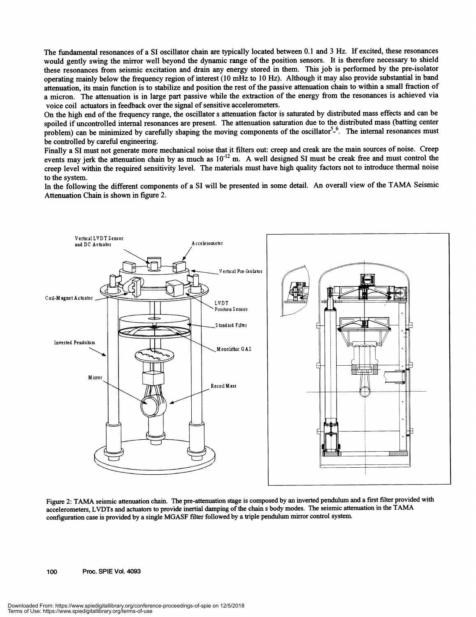The fundamental resonances of a SI oscillator chain are typically located between 0. 1 and 3 Hz. If excited, these resonances would gently swing the mirror well beyond the dynamic range of the position sensors. It is therefore necessary to shield these resonances from seismic excitation and drain any energy stored in them. This job is performed by the pre-isolator operating mainly below the frequency region of interest (10 mHz to 10 Hz). Although it may also provide substantial in band attenuation, its main function is to stabilize and position the rest of the passive attenuation chain to within a small fraction of a micron. The attenuation is in large part passive while the extraction of the energy from the resonances is achieved via voice coil actuators in feedback over the signal of sensitive accelerometers.

On the high end of the frequency range, the oscillator s attenuation factor is saturated by distributed mass effects and can be spoiled if uncontrolled internal resonances are present. The attenuation saturation due to the distributed mass (batting center problem) can be minimized by carefully shaping the moving components of the oscillator<sup>5</sup>-<sup>6</sup>. The internal resonances must be controlled by careful engineering.

Finally a SI must not generate more mechanical noise that it filters out: creep and creak are the main sources of noise. Creep events may jerk the attenuation chain by as much as  $10^{-12}$  m. A well designed SI must be creak free and must control the creep level within the required sensitivity level. The materials must have high quality factors not to introduce thermal noise to the system.

In the following the different components of a SI will be presented in some detail. An overall view of the TAMA Seismic Attenuation Chain is shown in figure 2.



Figure 2: TAMA seismic attenuation chain. The pre-attenuation stage is composed by an inverted pendulum and a first filter provided with accelerometers, LVDTs and actuators to provide inertial damping of the chain s body modes. The seismic attenuation in the TAMA configuration case is provided by a single MGASF filter followed by a triple pendulum mirror control system.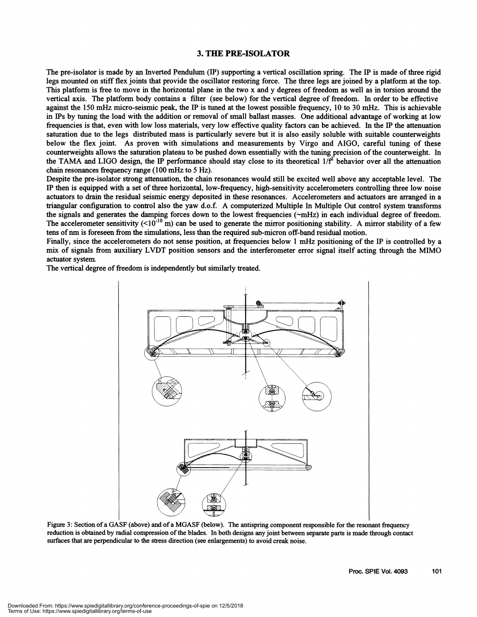#### 3. THE PRE-ISOLATOR

The pre-isolator is made by an Inverted Pendulum (IP) supporting a vertical oscillation spring. The IP is made of three rigid legs mounted on stiff flex joints that provide the oscillator restoring force. The three legs are joined by a platform at the top. This platform is free to move in the horizontal plane in the two x and y degrees of freedom as well as in torsion aroundthe vertical axis. The platform body contains a filter (see below) for the vertical degree of freedom. In order to be effective against the 150 mHz micro-seismic peak, the IP is tuned at the lowest possible frequency, 10 to 30 mHz. This is achievable in IPs by tuning the load with the addition or removal of small ballast masses. One additional advantage of working at low frequencies is that, even with low loss materials, very low effective quality factors can be achieved. In the IP the attenuation saturation due to the legs distributed mass is particularly severe but it is also easily soluble with suitable counterweights below the flex joint. As proven with simulations and measurements by Virgo and AIGO, careful tuning of these counterweights allows the saturation plateau to be pushed down essentially with the tuning precision ofthe counterweight. In the TAMA and LIGO design, the IP performance should stay close to its theoretical  $1/f^2$  behavior over all the attenuation chain resonances frequency range (100 mHz to 5Hz).

Despite the pre-isolator strong attenuation, the chain resonances would still be excited well above any acceptable level. The IP then is equipped with a set of three horizontal, low-frequency, high-sensitivity accelerometers controlling three low noise actuators to drain the residual seismic energy deposited in these resonances. Accelerometers and actuators are arranged in a triangular configuration to control also the yaw d.o.f. A computerized Multiple In Multiple Out control system transforms the signals and generates the damping forces down to the lowest frequencies (~mHz) in each individual degree of freedom. The accelerometer sensitivity  $(10^{-10} \text{ m})$  can be used to generate the mirror positioning stability. A mirror stability of a few tens ofnm is foreseen from the simulations, less than the required sub-micron off-band residual motion.

Finally, since the accelerometers do not sense position, at frequencies below 1 mHz positioning of the IP is controlled by a mix of signals from auxiliary LVDT position sensors and the mterferometer error signal itself acting through the MIMO actuator system.

The vertical degree of freedom is independently but similarly treated.



Figure 3: Section of a GASF (above) and of a MGASF (below). The antispring component responsible for the resonant frequency reduction is obtained by radial compression of the blades. In both designs any joint between separate parts is made through contact surfaces that are perpendicular to the stress direction (see enlargements) to avoid creak noise.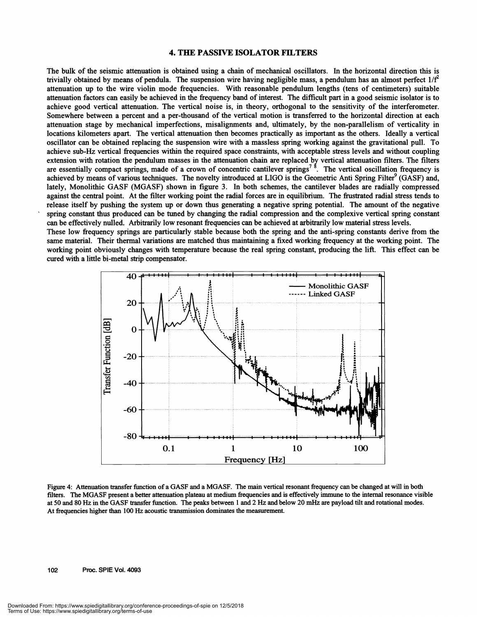#### **4. THE PASSIVE ISOLATOR FILTERS**

The bulk of the seismic attenuation is obtained using a chain of mechanical oscillators. In the horizontal direction this is trivially obtained by means of pendula. The suspension wire having negligible mass, a pendulum has an almost perfect  $1/f^2$ attenuation up to the wire violin mode frequencies. With reasonable pendulum lengths (tens of centimeters) suitable attenuation factors can easily be achieved in the frequency band of interest. The difficult part in a good seismic isolator is to achieve good vertical attenuation. The vertical noise is, in theory, orthogonal to the sensitivity of the interferometer. Somewhere between a percent and a per-thousand of the vertical motion is transferred to the horizontal direction at each attenuation stage by mechanical imperfections, misalignments and, ultimately, by the non-parallelism of verticality in locations kilometers apart. The vertical attenuation then becomes practically as important as the others. Ideally a vertical oscillator can be obtained replacing the suspension wire with a massless spring working against the gravitational pull. To achieve sub-Hz vertical frequencies within the required space constraints, with acceptable stress levels and without coupling extension with rotation the pendulum masses in the attenuation chain are replaced by vertical attenuation filters. The filters are essentially compact springs, made of a crown of concentric cantilever springs<sup>78</sup>. The vertical oscillation frequency is achieved by means of various techniques. The novelty introduced at LIGO is the Geometric Anti Spring Filter<sup>9</sup> (GASF) and, lately, Monolithic GASF (MGASF) shown in figure 3. In both schemes, the cantilever blades are radially compressed against the central point. At the filter working point the radial forces are in equilibrium. The frustrated radial stress tends to release itself by pushing the system up or down thus generating a negative spring potential. The amount of the negative spring constant thus produced can be tuned by changing the radial compression and the complexive vertical spring constant can be effectively nulled. Arbitrarily low resonant frequencies can be achieved at arbitrarily low material stress levels.

These low frequency springs are particularly stable because both the spring and the anti-spring constants derive from the same material. Their thermal variations are matched thus maintaining a fixed working frequency at the working point. The working point obviously changes with temperature because the real spring constant, producing the lift. This effect can be cured with a little bi-metal strip compensator.



Figure 4: Attenuation transfer function of a GASF and a MGASF. The main vertical resonant frequency can be changed at will in both filters. The MGASF present a better attenuation plateau at medium frequencies and is effectively immune to the internal resonance visible at 50 and 80 Hz in the GASF transfer function. The peaks between 1 and 2 Hz and below 20 mHz are payload tilt and rotational modes. At frequencies higher than 100 Hz acoustic transmission dominates the measurement.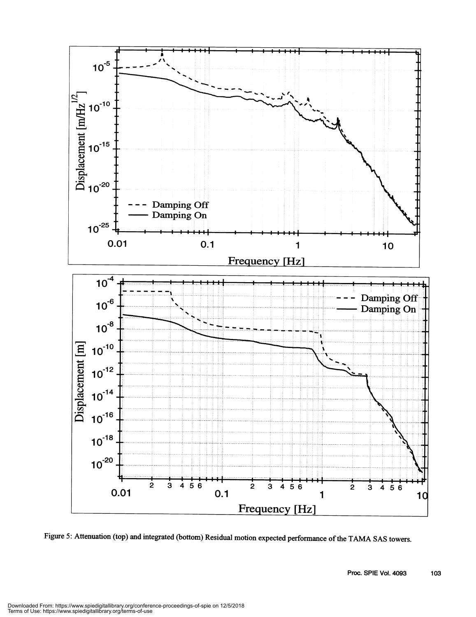

Figure 5: Attenuation (top) and integrated (bottom) Residual motion expected performance of the TAMA SAS towers.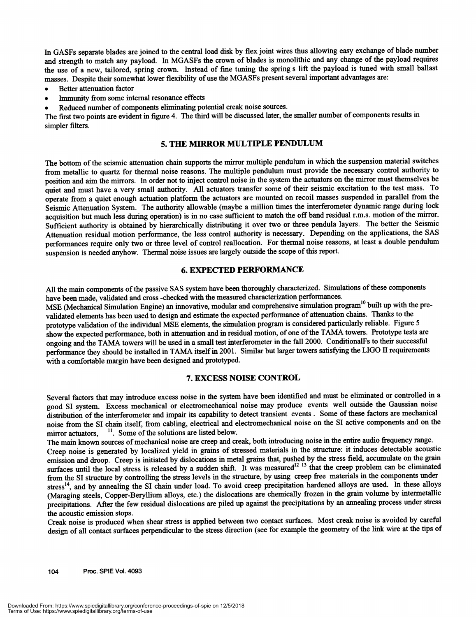In GASFs separate blades are joined to the central load disk by flex joint wires thus allowing easy exchange of blade number and strength to match any payload. In MGASFs the crown of blades is monolithic and any change of the payload requires the use of a new, tailored, spring crown. instead of fme tuning the spring s lift the payload is tuned with small ballast masses. Despite their somewhat lower flexibility of use the MGASFs present several important advantages are:<br>• Better attenuation factor . Immunity from some internal resonance effects

- 
- 
- Reduced number of components eliminating potential creak noise sources.

The first two points are evident in figure 4. The third will be discussed later, the smaller number of components results in simpler filters.

#### 5. THE MIRROR MULTIPLE PENDULUM

The bottom of the seismic attenuation chain supports the mirror multiple pendulum in which the suspension material switches from metallic to quartz for thermal noise reasons. The multiple pendulum must provide the necessary control authority to position and aim the mirrors. In order not to inject control noise in the system the actuators on the mirror must themselves be quiet and must have a very small authority. All actuators transfer some of their seismic excitation to the test mass. To operate from a quiet enough actuation platform the actuators are mounted on recoil masses suspended in parallel from the Seismic Attenuation System. The authority allowable (maybe a million times the interferometer dynamic range during lock acquisition but much less during operation) is in no case sufficient to match the off band residual r.m.s. motion of the mirror. Sufficient authority is obtained by hierarchically distributing it over two or three pendula layers. The better the Seismic Attenuation residual motion performance, the less control authority is necessary. Depending on the applications, the SAS performances require only two or three level of control reallocation. For thermal noise reasons, at least a double pendulum suspension is needed anyhow. Thermal noise issues are largely outside the scope of this report.

#### 6. EXPECTED PERFORMANCE

All the main components of the passive SAS system have been thoroughly characterized. Simulations of these components have been made, validated and cross -checked with the measured characterization performances.

MSE (Mechanical Simulation Engine) an innovative, modular and comprehensive simulation program<sup>10</sup> built up with the prevalidated elements has been used to design and estimate the expected performance of attenuation chains. Thanks to the prototype validation of the individual MSE elements, the simulation program is considered particularly reliable. Figure 5 show the expected performance, both in attenuation and in residual motion, of one of the TAMA towers. Prototype tests are ongoing and the TAMA towers will be used in a small test interferometer in the fall 2000. ConditionalFs to their successfui performance they should be installed in TAMA itself in 2001. Similar but larger towers satisfying the LIGO II requirements with a comfortable margin have been designed and prototyped.

#### 7. EXCESS NOISE CONTROL

Several factors that may introduce excess noise in the system have been identified and must be eliminated or controlled in a good SI system. Excess mechanical or electromechanical noise may produce events well outside the Gaussian noise distribution of the interferometer and impair its capability to detect transient events . Some of these factors are mechanical noise from the SI chain itself, from cabling, electrical and electromechanical noise on the SI active components and on the mirror actuators,  $\frac{11}{1}$ . Some of the solutions are listed below.

The main known sources of mechanical noise are creep and creak, both introducing noise in the entire audio frequency range. Creep noise is generated by localized yield in grains of stressed materials in the structure: it induces detectable acoustic emission and droop. Creep is initiated by dislocations in metal grains that, pushed by the stress field, accumulate on the grain surfaces until the local stress is released by a sudden shift. It was measured<sup>12</sup> <sup>13</sup> that the creep problem can be eliminated surfaces until the local stress is released by a sudden shift. It was measured<sup>12</sup> <sup>13</sup> that from the SI structure by controlling the stress levels in the structure, by using creep free materials in the components under stress<sup>14</sup>, and by annealing the SI chain under load. To avoid creep precipitation hardened alloys are used. In these alloys (Maraging steels, Copper-Beryllium alloys, etc.) the dislocations are chemically frozen in the grain volume by intermetallic precipitations. After the few residual dislocations are piled up against the precipitations by an annealing process under stress the acoustic emission stops.

Creak noise is produced when shear stress is applied between two contact surfaces. Most creak noise is avoided by careful design of all contact surfaces perpendicular to the stress direction (see for example the geometry of the link wire at the tips of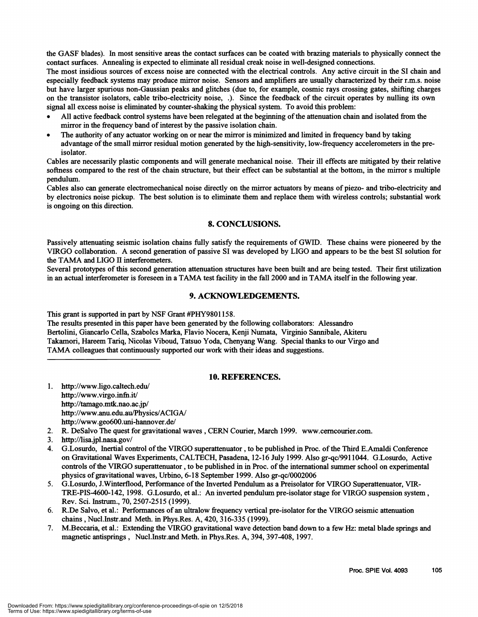the GASF blades). In most sensitive areas the contact surfaces can be coated with brazing materials to physically connect the contact surfaces. Annealing is expected to eliminate all residual creak noise in well-designed connections.

The most insidious sources of excess noise are connected with the electrical controls. Any active circuit in the SI chain and especially feedback systems may produce mirror noise. Sensors and amplifiers are usually characterized by their r.m.s. noise but have larger spurious non-Gaussian peaks and glitches (due to, for example, cosmic rays crossing gates, shifting charges on the transistor isolators, cable tribo-electricity noise, .). Since the feedback of the circuit operates by nulling its own signal all excess noise is eliminated by counter-shaking the physical system. To avoid this prob

- All active feedback control systems have been relegated at the beginning of the attenuation chain and isolated from the mirror in the frequency band of interest by the passive isolation chain.
- The authority of any actuator working on or near the mirror is minimized and limited in frequency band by taking advantage of the small mirror residual motion generated by the high-sensitivity, low-frequency accelerometers in the preisolator.

Cables are necessarily plastic components and will generate mechanical noise. Their ill effects are mitigated by their relative softness compared to the rest of the chain structure, but their effect can be substantial at the bottom, in the mirror s multiple pendulum.

Cables also can generate electromechanical noise directly on the mirror actuators by means of piezo- and tribo-electricity and by electronics noise pickup. The best solution is to eliminate them and replace them with wireless controls; substantial work is ongoing on this direction.

#### 8. CONCLUSIONS.

Passively attenuating seismic isolation chains fully satisfy the requirements of GWID. These chains were pioneered by the VIRGO collaboration. A second generation of passive SI was developed by LIGO and appears to be the best SI solution for the TAMA and LIGO II interferometers.

Several prototypes of this second generation attenuation structures have been built and are being tested. Their first utilization in an actual interferometer is foreseen in a TAMA test facility in the fall 2000 and in TAMA itself in the following year.

#### 9. ACKNOWLEDGEMENTS.

This grant is supported in part by NSF Grant #PHY98O1 158.

The results presented in this paper have been generated by the following collaborators: Alessandro Bertolini, Giancarlo Cella, Szabolcs Marka, Flavio Nocera, Kenji Numata, Virginio Sannibale, Akiteru Takamori, Hareem Tariq, Nicolas Viboud, Tatsuo Yoda, Chenyang Wang. Special thanks to our Virgo and TAMA colleagues that continuously supported our work with their ideas and suggestions.

#### 10. REFERENCES.

- 1. http://www.ligo.caltech.edu/ http://www.virgo.infn.it/ http://tamago.mtk.nao.ac.jp/ http://www.anu.edu.au/Physics/ACIGA/ http://www.geo600.uni-hannover.de/
- 2. R. DeSalvo The quest for gravitational waves , CERN Courier, March 1999. www.cemcourier.com.
- 3. http://lisa.jpl.nasa.gov/<br>4. G.Losurdo. Inertial com
- 4. G.Losurdo, Inertial control ofthe VIRGO superattenuator ,to be published in Proc. ofthe Third E.Amaldi Conference on Gravitational Waves Experiments, CALTECH, Pasadena, 12-16 July 1999. Also gr-qc/991 1044. G.Losurdo, Active controls of the VIRGO superattenuator, to be published in in Proc. of the international summer school on experimental physics ofgravitational waves, Urbino, 6-18 September 1999. Also gr-qc/0002006
- 5. G.Losurdo, J.Winterflood, Performance ofthe inverted Pendulum as a Preisolator for VIRGO Superattenuator, VIR-TRE-PIS-4600-142, 1998. G.Losurdo, et al.: An inverted pendulum pre-isolator stage for VIRGO suspension system, Rev. Sci. instrum., 70, 2507-2515 (1999).
- 6. R.De Salvo, et al. : Performances of an ultralow frequency vertical pre-isolator for the VIRGO seismic attenuation chains , Nucl.Instr.and Meth. in Phys.Res. A, 420, 3 16-335 (1999).
- 7. M.Beccaria, et al.: Extending the VIRGO gravitational wave detection band down to a few Hz: metal blade springs and magnetic antisprings, Nucl.Instr.and Meth. in Phys.Res. A, 394, 397-408, 1997.